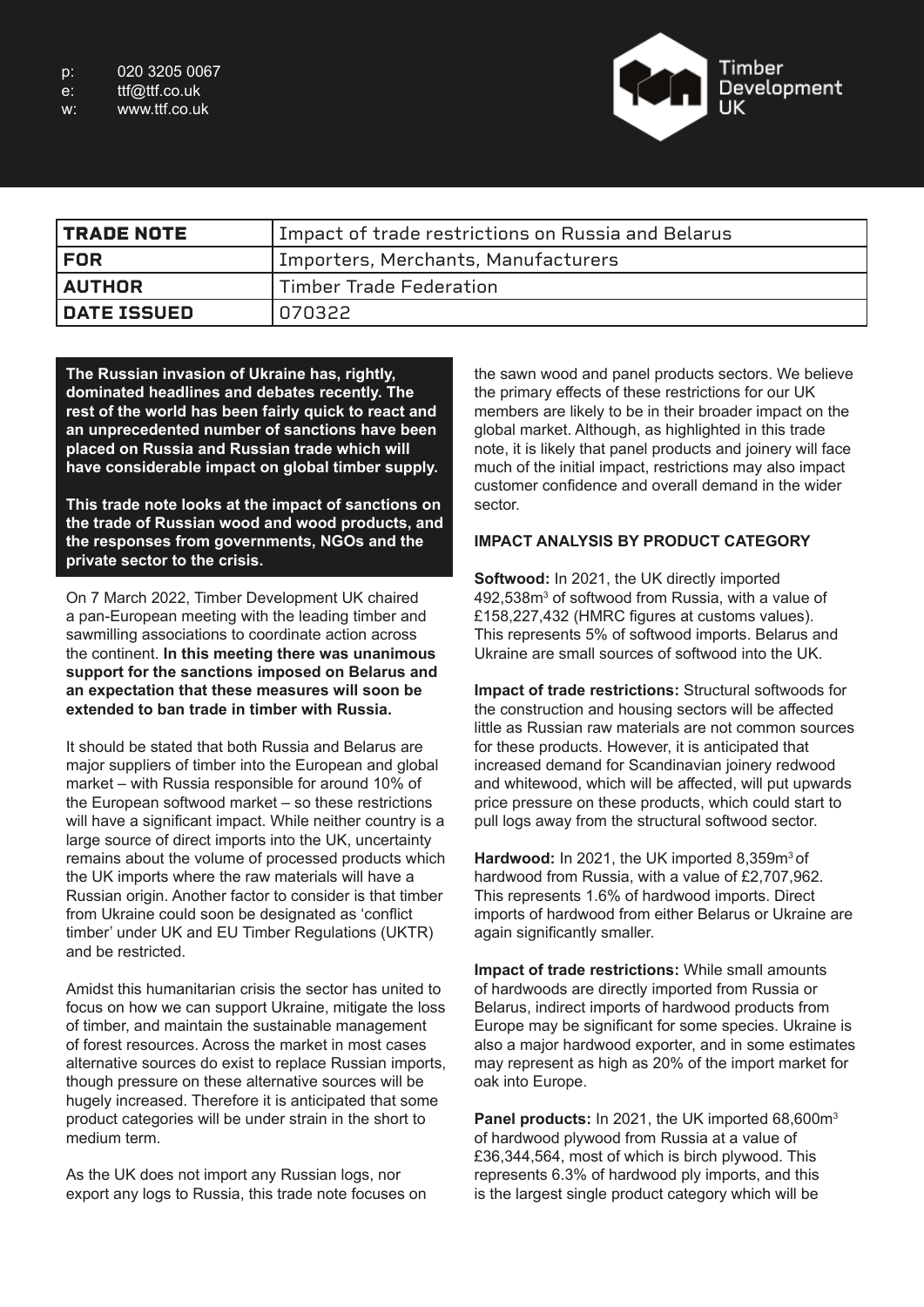w: www.ttf.co.uk



| <b>TRADE NOTE</b>  | Impact of trade restrictions on Russia and Belarus |  |
|--------------------|----------------------------------------------------|--|
| <b>FOR</b>         | Importers, Merchants, Manufacturers                |  |
| <b>AUTHOR</b>      | 'Timber Trade Federation                           |  |
| <b>DATE ISSUED</b> | 070322                                             |  |

**The Russian invasion of Ukraine has, rightly, dominated headlines and debates recently. The rest of the world has been fairly quick to react and an unprecedented number of sanctions have been placed on Russia and Russian trade which will have considerable impact on global timber supply.**

**This trade note looks at the impact of sanctions on the trade of Russian wood and wood products, and the responses from governments, NGOs and the private sector to the crisis.**

On 7 March 2022, Timber Development UK chaired a pan-European meeting with the leading timber and sawmilling associations to coordinate action across the continent. **In this meeting there was unanimous support for the sanctions imposed on Belarus and an expectation that these measures will soon be extended to ban trade in timber with Russia.** 

It should be stated that both Russia and Belarus are major suppliers of timber into the European and global market – with Russia responsible for around 10% of the European softwood market – so these restrictions will have a significant impact. While neither country is a large source of direct imports into the UK, uncertainty remains about the volume of processed products which the UK imports where the raw materials will have a Russian origin. Another factor to consider is that timber from Ukraine could soon be designated as 'conflict timber' under UK and EU Timber Regulations (UKTR) and be restricted.

Amidst this humanitarian crisis the sector has united to focus on how we can support Ukraine, mitigate the loss of timber, and maintain the sustainable management of forest resources. Across the market in most cases alternative sources do exist to replace Russian imports, though pressure on these alternative sources will be hugely increased. Therefore it is anticipated that some product categories will be under strain in the short to medium term.

As the UK does not import any Russian logs, nor export any logs to Russia, this trade note focuses on the sawn wood and panel products sectors. We believe the primary effects of these restrictions for our UK members are likely to be in their broader impact on the global market. Although, as highlighted in this trade note, it is likely that panel products and joinery will face much of the initial impact, restrictions may also impact customer confidence and overall demand in the wider sector.

## **IMPACT ANALYSIS BY PRODUCT CATEGORY**

**Softwood:** In 2021, the UK directly imported  $492,538\mathrm{m}^3$  of softwood from Russia, with a value of £158,227,432 (HMRC figures at customs values). This represents 5% of softwood imports. Belarus and Ukraine are small sources of softwood into the UK.

**Impact of trade restrictions:** Structural softwoods for the construction and housing sectors will be affected little as Russian raw materials are not common sources for these products. However, it is anticipated that increased demand for Scandinavian joinery redwood and whitewood, which will be affected, will put upwards price pressure on these products, which could start to pull logs away from the structural softwood sector.

Hardwood: In 2021, the UK imported 8,359m<sup>3</sup> of hardwood from Russia, with a value of £2,707,962. This represents 1.6% of hardwood imports. Direct imports of hardwood from either Belarus or Ukraine are again significantly smaller.

**Impact of trade restrictions:** While small amounts of hardwoods are directly imported from Russia or Belarus, indirect imports of hardwood products from Europe may be significant for some species. Ukraine is also a major hardwood exporter, and in some estimates may represent as high as 20% of the import market for oak into Europe.

**Panel products:** In 2021, the UK imported 68,600m<sup>3</sup> of hardwood plywood from Russia at a value of £36,344,564, most of which is birch plywood. This represents 6.3% of hardwood ply imports, and this is the largest single product category which will be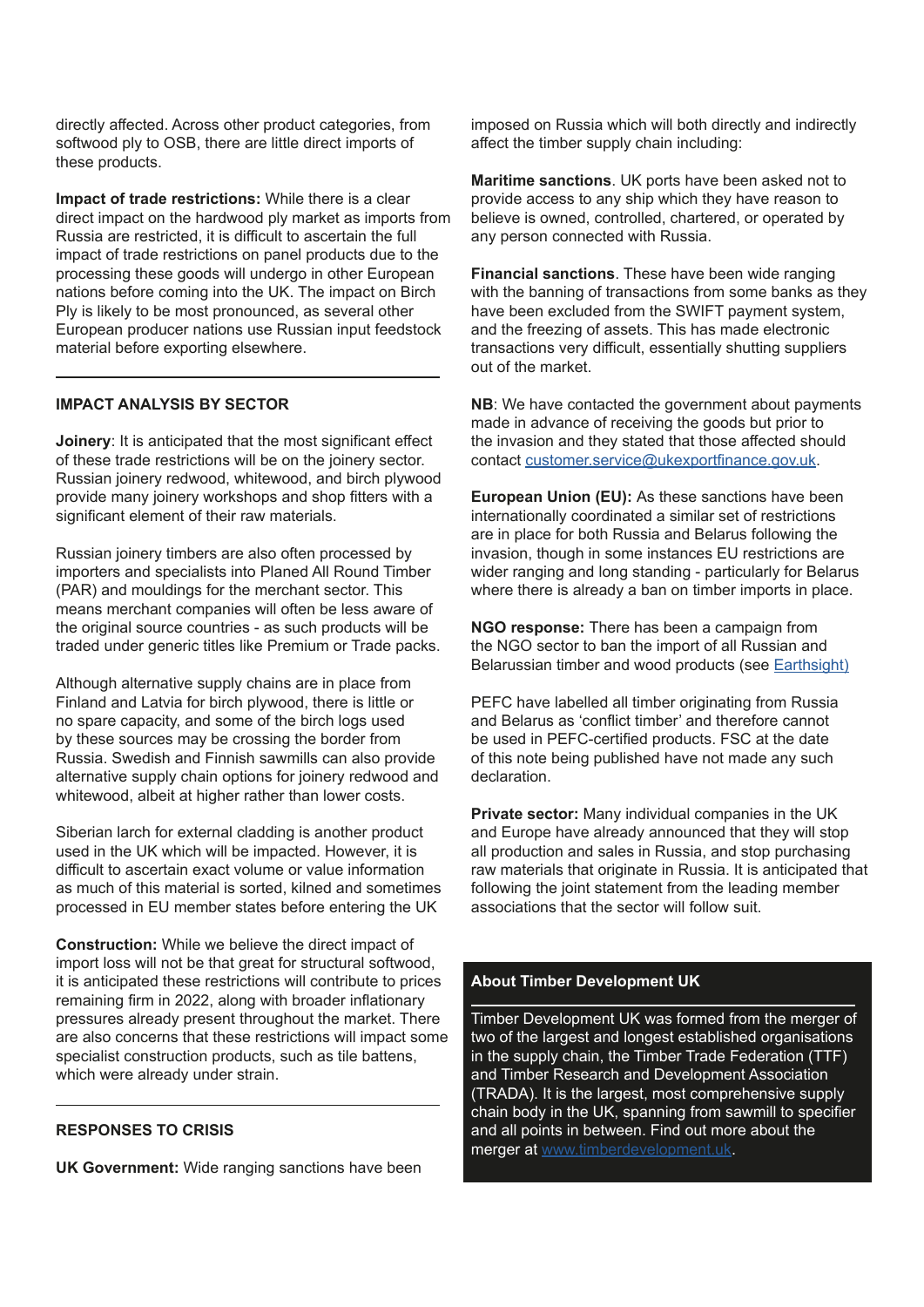directly affected. Across other product categories, from softwood ply to OSB, there are little direct imports of these products.

**Impact of trade restrictions:** While there is a clear direct impact on the hardwood ply market as imports from Russia are restricted, it is difficult to ascertain the full impact of trade restrictions on panel products due to the processing these goods will undergo in other European nations before coming into the UK. The impact on Birch Ply is likely to be most pronounced, as several other European producer nations use Russian input feedstock material before exporting elsewhere.

# **IMPACT ANALYSIS BY SECTOR**

**Joinery**: It is anticipated that the most significant effect of these trade restrictions will be on the joinery sector. Russian joinery redwood, whitewood, and birch plywood provide many joinery workshops and shop fitters with a significant element of their raw materials.

Russian joinery timbers are also often processed by importers and specialists into Planed All Round Timber (PAR) and mouldings for the merchant sector. This means merchant companies will often be less aware of the original source countries - as such products will be traded under generic titles like Premium or Trade packs.

Although alternative supply chains are in place from Finland and Latvia for birch plywood, there is little or no spare capacity, and some of the birch logs used by these sources may be crossing the border from Russia. Swedish and Finnish sawmills can also provide alternative supply chain options for joinery redwood and whitewood, albeit at higher rather than lower costs.

Siberian larch for external cladding is another product used in the UK which will be impacted. However, it is difficult to ascertain exact volume or value information as much of this material is sorted, kilned and sometimes processed in EU member states before entering the UK

**Construction:** While we believe the direct impact of import loss will not be that great for structural softwood, it is anticipated these restrictions will contribute to prices remaining firm in 2022, along with broader inflationary pressures already present throughout the market. There are also concerns that these restrictions will impact some specialist construction products, such as tile battens, which were already under strain.

# **RESPONSES TO CRISIS**

**UK Government:** Wide ranging sanctions have been

imposed on Russia which will both directly and indirectly affect the timber supply chain including:

**Maritime sanctions**. UK ports have been asked not to provide access to any ship which they have reason to believe is owned, controlled, chartered, or operated by any person connected with Russia.

**Financial sanctions**. These have been wide ranging with the banning of transactions from some banks as they have been excluded from the SWIFT payment system, and the freezing of assets. This has made electronic transactions very difficult, essentially shutting suppliers out of the market.

**NB**: We have contacted the government about payments made in advance of receiving the goods but prior to the invasion and they stated that those affected should contact customer.service@ukexportfinance.gov.uk.

**European Union (EU):** As these sanctions have been internationally coordinated a similar set of restrictions are in place for both Russia and Belarus following the invasion, though in some instances EU restrictions are wider ranging and long standing - particularly for Belarus where there is already a ban on timber imports in place.

**NGO response:** There has been a campaign from the NGO sector to ban the import of all Russian and Belarussian timber and wood products (see Earthsight)

PEFC have labelled all timber originating from Russia and Belarus as 'conflict timber' and therefore cannot be used in PEFC-certified products. FSC at the date of this note being published have not made any such declaration.

**Private sector:** Many individual companies in the UK and Europe have already announced that they will stop all production and sales in Russia, and stop purchasing raw materials that originate in Russia. It is anticipated that following the joint statement from the leading member associations that the sector will follow suit.

## **About Timber Development UK**

Timber Development UK was formed from the merger of two of the largest and longest established organisations in the supply chain, the Timber Trade Federation (TTF) and Timber Research and Development Association (TRADA). It is the largest, most comprehensive supply chain body in the UK, spanning from sawmill to specifier and all points in between. Find out more about the merger at www.timberdevelopment.uk.